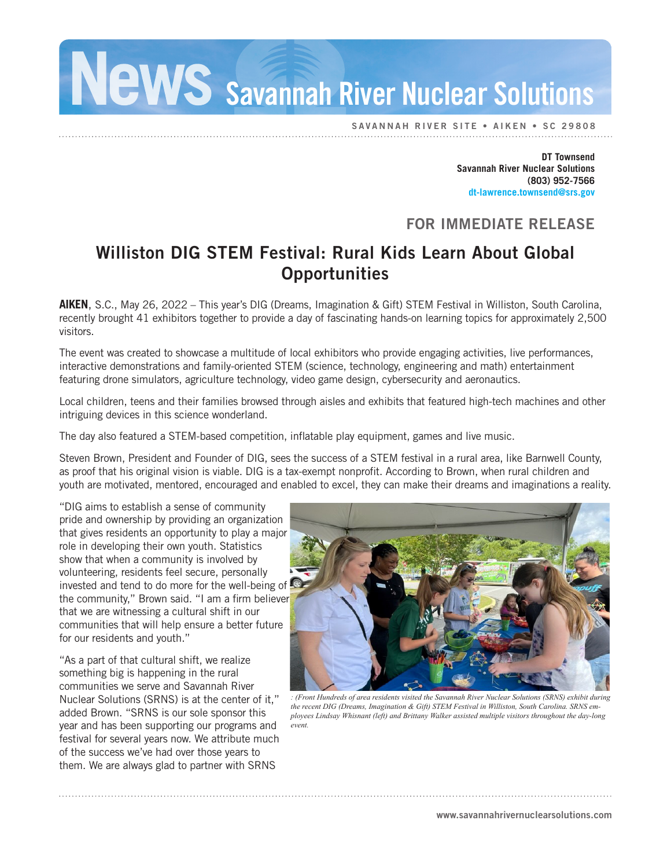Savannah River Nuclear Solutions

SAVANNAH RIVER SITE • AIKEN • SC 29808

**DT Townsend Savannah River Nuclear Solutions (803) 952-7566 dt-lawrence.townsend@srs.gov**

## FOR IMMEDIATE RELEASE

## Williston DIG STEM Festival: Rural Kids Learn About Global **Opportunities**

**AIKEN**, S.C., May 26, 2022 – This year's DIG (Dreams, Imagination & Gift) STEM Festival in Williston, South Carolina, recently brought 41 exhibitors together to provide a day of fascinating hands-on learning topics for approximately 2,500 visitors.

The event was created to showcase a multitude of local exhibitors who provide engaging activities, live performances, interactive demonstrations and family-oriented STEM (science, technology, engineering and math) entertainment featuring drone simulators, agriculture technology, video game design, cybersecurity and aeronautics.

Local children, teens and their families browsed through aisles and exhibits that featured high-tech machines and other intriguing devices in this science wonderland.

The day also featured a STEM-based competition, inflatable play equipment, games and live music.

Steven Brown, President and Founder of DIG, sees the success of a STEM festival in a rural area, like Barnwell County, as proof that his original vision is viable. DIG is a tax-exempt nonprofit. According to Brown, when rural children and youth are motivated, mentored, encouraged and enabled to excel, they can make their dreams and imaginations a reality.

"DIG aims to establish a sense of community pride and ownership by providing an organization that gives residents an opportunity to play a major role in developing their own youth. Statistics show that when a community is involved by volunteering, residents feel secure, personally invested and tend to do more for the well-being of the community," Brown said. "I am a firm believer that we are witnessing a cultural shift in our communities that will help ensure a better future for our residents and youth."

"As a part of that cultural shift, we realize something big is happening in the rural communities we serve and Savannah River Nuclear Solutions (SRNS) is at the center of it," added Brown. "SRNS is our sole sponsor this year and has been supporting our programs and festival for several years now. We attribute much of the success we've had over those years to them. We are always glad to partner with SRNS



*: (Front Hundreds of area residents visited the Savannah River Nuclear Solutions (SRNS) exhibit during the recent DIG (Dreams, Imagination & Gift) STEM Festival in Williston, South Carolina. SRNS employees Lindsay Whisnant (left) and Brittany Walker assisted multiple visitors throughout the day-long event.*

www.savannahrivernuclearsolutions.com